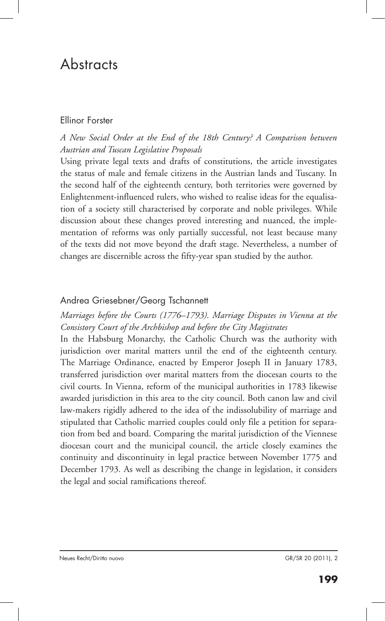# **Abstracts**

#### Ellinor Forster

# *A New Social Order at the End of the 18th Century? A Comparison between Austrian and Tuscan Legislative Proposals*

Using private legal texts and drafts of constitutions, the article investigates the status of male and female citizens in the Austrian lands and Tuscany. In the second half of the eighteenth century, both territories were governed by Enlightenment-influenced rulers, who wished to realise ideas for the equalisation of a society still characterised by corporate and noble privileges. While discussion about these changes proved interesting and nuanced, the implementation of reforms was only partially successful, not least because many of the texts did not move beyond the draft stage. Nevertheless, a number of changes are discernible across the fifty-year span studied by the author.

# Andrea Griesebner/Georg Tschannett

## *Marriages before the Courts (1776–1793). Marriage Disputes in Vienna at the Consistory Court of the Archbishop and before the City Magistrates*

In the Habsburg Monarchy, the Catholic Church was the authority with jurisdiction over marital matters until the end of the eighteenth century. The Marriage Ordinance, enacted by Emperor Joseph II in January 1783, transferred jurisdiction over marital matters from the diocesan courts to the civil courts. In Vienna, reform of the municipal authorities in 1783 likewise awarded jurisdiction in this area to the city council. Both canon law and civil law-makers rigidly adhered to the idea of the indissolubility of marriage and stipulated that Catholic married couples could only file a petition for separation from bed and board. Comparing the marital jurisdiction of the Viennese diocesan court and the municipal council, the article closely examines the continuity and discontinuity in legal practice between November 1775 and December 1793. As well as describing the change in legislation, it considers the legal and social ramifications thereof.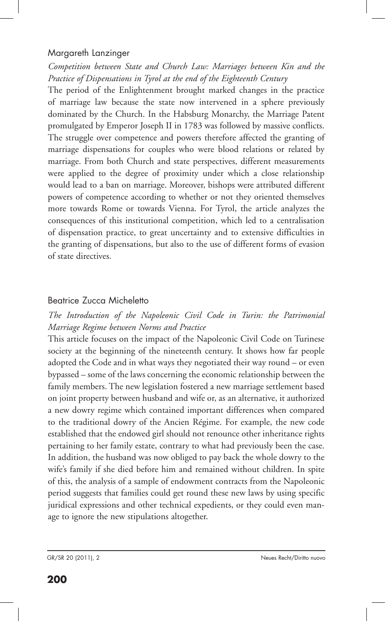### Margareth Lanzinger

*Competition between State and Church Law: Marriages between Kin and the Practice of Dispensations in Tyrol at the end of the Eighteenth Century*

The period of the Enlightenment brought marked changes in the practice of marriage law because the state now intervened in a sphere previously dominated by the Church. In the Habsburg Monarchy, the Marriage Patent promulgated by Emperor Joseph II in 1783 was followed by massive conflicts. The struggle over competence and powers therefore affected the granting of marriage dispensations for couples who were blood relations or related by marriage. From both Church and state perspectives, different measurements were applied to the degree of proximity under which a close relationship would lead to a ban on marriage. Moreover, bishops were attributed different powers of competence according to whether or not they oriented themselves more towards Rome or towards Vienna. For Tyrol, the article analyzes the consequences of this institutional competition, which led to a centralisation of dispensation practice, to great uncertainty and to extensive difficulties in the granting of dispensations, but also to the use of different forms of evasion of state directives.

# Beatrice Zucca Micheletto

# *The Introduction of the Napoleonic Civil Code in Turin: the Patrimonial Marriage Regime between Norms and Practice*

This article focuses on the impact of the Napoleonic Civil Code on Turinese society at the beginning of the nineteenth century. It shows how far people adopted the Code and in what ways they negotiated their way round – or even bypassed – some of the laws concerning the economic relationship between the family members. The new legislation fostered a new marriage settlement based on joint property between husband and wife or, as an alternative, it authorized a new dowry regime which contained important differences when compared to the traditional dowry of the Ancien Régime. For example, the new code established that the endowed girl should not renounce other inheritance rights pertaining to her family estate, contrary to what had previously been the case. In addition, the husband was now obliged to pay back the whole dowry to the wife's family if she died before him and remained without children. In spite of this, the analysis of a sample of endowment contracts from the Napoleonic period suggests that families could get round these new laws by using specific juridical expressions and other technical expedients, or they could even manage to ignore the new stipulations altogether.